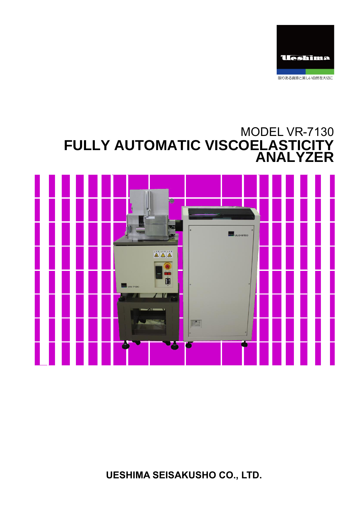

# MODEL VR-7130 **FULLY AUTOMATIC VISCOELASTICITY ANALYZER**



**UESHIMA SEISAKUSHO CO., LTD.**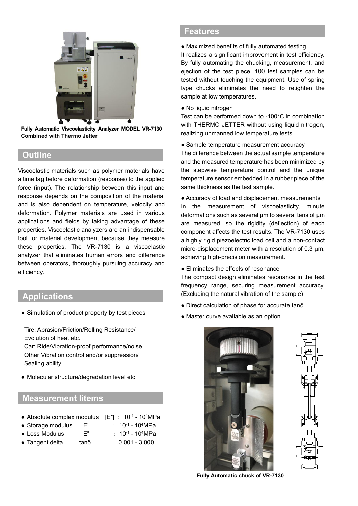

**Fully Automatic Viscoelasticity Analyzer MODEL VR-7130 Combined with Thermo Jetter**

### **Outline**

Viscoelastic materials such as polymer materials have a time lag before deformation (response) to the applied force (input). The relationship between this input and response depends on the composition of the material and is also dependent on temperature, velocity and deformation. Polymer materials are used in various applications and fields by taking advantage of these properties. Viscoelastic analyzers are an indispensable tool for material development because they measure these properties. The VR-7130 is a viscoelastic analyzer that eliminates human errors and difference between operators, thoroughly pursuing accuracy and efficiency.

### **Applications**

• Simulation of product property by test pieces

Tire: Abrasion/Friction/Rolling Resistance/ Evolution of heat etc.

Car: Ride/Vibration-proof performance/noise Other Vibration control and/or suppression/ Sealing ability………

● Molecular structure/degradation level etc.

#### **Measurement Iitems**

| • Absolute complex modulus $ E^* $ : 10 <sup>-1</sup> - 10 <sup>4</sup> MPa |      |                          |
|-----------------------------------------------------------------------------|------|--------------------------|
| • Storage modulus                                                           | F'   | : $10^{-1} - 10^{4} MPa$ |
| • Loss Modulus                                                              | F"   | : $10^{-1} - 10^{4} MPa$ |
| • Tangent delta                                                             | tanδ | $: 0.001 - 3.000$        |

### **Features**

● Maximized benefits of fully automated testing

It realizes a significant improvement in test efficiency. By fully automating the chucking, measurement, and ejection of the test piece, 100 test samples can be tested without touching the equipment. Use of spring type chucks eliminates the need to retighten the sample at low temperatures.

● No liquid nitrogen

Test can be performed down to -100°C in combination with THERMO JETTER without using liquid nitrogen, realizing unmanned low temperature tests.

• Sample temperature measurement accuracy

The difference between the actual sample temperature and the measured temperature has been minimized by the stepwise temperature control and the unique temperature sensor embedded in a rubber piece of the same thickness as the test sample.

● Accuracy of load and displacement measurements In the measurement of viscoelasticity, minute deformations such as several  $µm$  to several tens of  $µm$ are measured, so the rigidity (deflection) of each component affects the test results. The VR-7130 uses a highly rigid piezoelectric load cell and a non-contact micro-displacement meter with a resolution of 0.3  $\mu$ m, achieving high-precision measurement.

● Eliminates the effects of resonance

The compact design eliminates resonance in the test frequency range, securing measurement accuracy. (Excluding the natural vibration of the sample)

- Direct calculation of phase for accurate tanδ
- Master curve available as an option





**Fully Automatic chuck of VR-7130**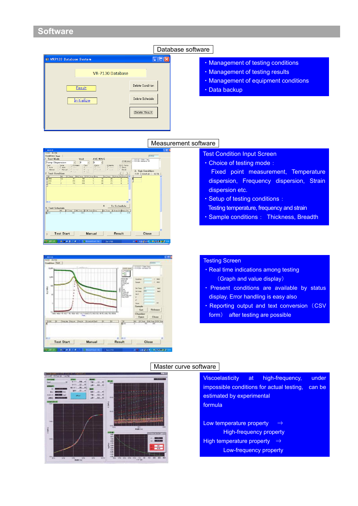### **Software**

|                                 | Dalai            |  |
|---------------------------------|------------------|--|
| <b>E VR7120 Database System</b> |                  |  |
| VR-7130 Database                |                  |  |
| Result                          | Delete Condition |  |
| <b>Initialize</b>               | Delete Schedule  |  |
|                                 | Delete Result    |  |
|                                 |                  |  |

### Database software

- ・Management of testing conditions
- ・Management of testing results
- ・Management of equipment conditions
- ・Data backup

#### Measurement software





#### Test Condition Input Screen

- ・Choice of testing mode:
- Fixed point measurement, Temperature dispersion, Frequency dispersion, Strain dispersion etc.
- ・Setup of testing conditions:
- **Testing temperature, frequency and strain**
- ・Sample conditions: Thickness, Breadth

#### Testing Screen

I

I

- ・Real time indications among testing (Graph and value display)
- ・ Present conditions are available by status display. Error handling is easy also
- Reporting output and text conversion (CSV form) after testing are possible



#### Master curve software

Viscoelasticity at high-frequency, under impossible conditions for actual testing, can be estimated by experimental formula

Low temperature property ⇒ High-frequency property High temperature property ⇒ Low-frequency property